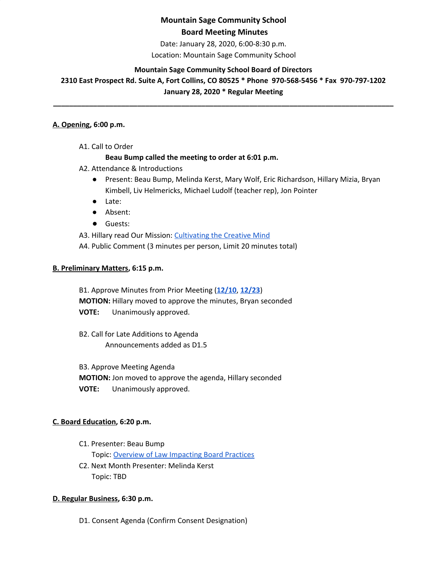Date: January 28, 2020, 6:00-8:30 p.m.

Location: Mountain Sage Community School

## **Mountain Sage Community School Board of Directors**

**2310 East Prospect Rd. Suite A, Fort Collins, CO 80525 \* Phone 970-568-5456 \* Fax 970-797-1202 January 28, 2020 \* Regular Meeting**

# **\_\_\_\_\_\_\_\_\_\_\_\_\_\_\_\_\_\_\_\_\_\_\_\_\_\_\_\_\_\_\_\_\_\_\_\_\_\_\_\_\_\_\_\_\_\_\_\_\_\_\_\_\_\_\_\_\_\_\_\_\_\_\_\_\_\_\_\_\_\_\_\_\_\_\_\_\_\_\_\_\_\_\_\_\_**

#### **A. Opening, 6:00 p.m.**

A1. Call to Order

## **Beau Bump called the meeting to order at 6:01 p.m.**

- A2. Attendance & Introductions
	- Present: Beau Bump, Melinda Kerst, Mary Wolf, Eric Richardson, Hillary Mizia, Bryan Kimbell, Liv Helmericks, Michael Ludolf (teacher rep), Jon Pointer
	- Late:
	- Absent:
	- Guests:

A3. Hillary read Our Mission: [Cultivating](http://www.mountainsage.org/mission-and-vision.html) the Creative Mind

A4. Public Comment (3 minutes per person, Limit 20 minutes total)

#### **B. Preliminary Matters, 6:15 p.m.**

B1. Approve Minutes from Prior Meeting (**[12/10](https://docs.google.com/document/d/1mSKV_C95L-w7Sq0oUQoMwmWdI2evlxIUxIqCDddfuWs/edit?usp=sharing)**, **[12/23](https://docs.google.com/document/d/1Eg5TjvORY-b3QfjkSku2PfVO7tQwTiiKPVw1M6rJ_2g/edit?usp=sharing)**) **MOTION:** Hillary moved to approve the minutes, Bryan seconded **VOTE:** Unanimously approved.

B2. Call for Late Additions to Agenda Announcements added as D1.5

B3. Approve Meeting Agenda

**MOTION:** Jon moved to approve the agenda, Hillary seconded **VOTE:** Unanimously approved.

## **C. Board Education, 6:20 p.m.**

- C1. Presenter: Beau Bump Topic: Overview of Law [Impacting](https://drive.google.com/drive/u/0/folders/16oZE3yuYISRbWtsSKD1oPD1XrST5lIoj) Board Practices
- C2. Next Month Presenter: Melinda Kerst Topic: TBD

## **D. Regular Business, 6:30 p.m.**

D1. Consent Agenda (Confirm Consent Designation)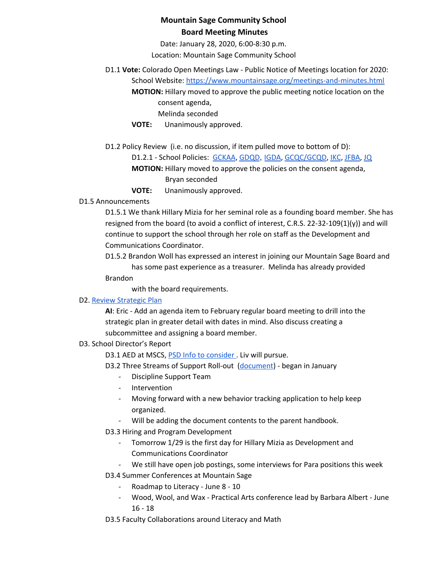Date: January 28, 2020, 6:00-8:30 p.m.

Location: Mountain Sage Community School

## D1.1 **Vote:** Colorado Open Meetings Law - Public Notice of Meetings location for 2020:

School Website: <https://www.mountainsage.org/meetings-and-minutes.html> **MOTION:** Hillary moved to approve the public meeting notice location on the consent agenda,

Melinda seconded

**VOTE:** Unanimously approved.

D1.2 Policy Review (i.e. no discussion, if item pulled move to bottom of D):

D1.2.1 - School Policies: [GCKAA](https://docs.google.com/document/d/1Merv1El9rhyfwYMXGs8uSGLrXBBh4bO79vgPTclIKW4/edit?usp=sharing), [GDQD](https://docs.google.com/document/d/1Ewwb0RIPZasF4ZmW7YUI-MQyvjgK7_aGBF7_874vNm8/edit?usp=sharing), [IGDA](https://docs.google.com/document/d/1ONFLsWwDw5QlA0qGKI4D_B0HvphriPoS0YBWOq-vUs0/edit?usp=sharing), [GCQC/GCQD](https://docs.google.com/document/d/1D6Iny5P4TJOC1MrB8k0ZQvLsrddkCSKXYFmPRUw2HMo/edit), [IKC](https://drive.google.com/open?id=1cgaogQY3tVvadtDpqK5bu3_PBjTILUTrKFvVYDPN50o), [JFBA](https://drive.google.com/open?id=1m83NJgTOFSnZcpq29US3wrK9G-vkSo7I16H8EIPojG0), [JQ](https://drive.google.com/open?id=115IW9s0E6ypNZh50sUOOMpCKQFH_zLlkyJ42R2nRlVM)

**MOTION:** Hillary moved to approve the policies on the consent agenda, Bryan seconded

**VOTE:** Unanimously approved.

## D1.5 Announcements

D1.5.1 We thank Hillary Mizia for her seminal role as a founding board member. She has resigned from the board (to avoid a conflict of interest, C.R.S. 22-32-109(1)(y)) and will continue to support the school through her role on staff as the Development and Communications Coordinator.

D1.5.2 Brandon Woll has expressed an interest in joining our Mountain Sage Board and has some past experience as a treasurer. Melinda has already provided

Brandon

with the board requirements.

#### D2. Review [Strategic](https://drive.google.com/file/d/1bIEAL8S8NnDx9PPJRR79h1dLsXFMCh-t/view?usp=sharing) Plan

**AI**: Eric - Add an agenda item to February regular board meeting to drill into the strategic plan in greater detail with dates in mind. Also discuss creating a subcommittee and assigning a board member.

## D3. School Director's Report

D3.1 AED at MSCS, PSD Info to [consider](https://www.psdschools.org/schools/safety-and-emergencies/automated-external-defibrillator-program) . Liv will pursue.

D3.2 Three Streams of Support Roll-out ([document\)](https://drive.google.com/file/d/0BwYnvoGpYgfKVEQyRDc1Nnd3bnVta2kxSmthYkhpZmppSXBr/view) - began in January

- Discipline Support Team
- **Intervention**
- Moving forward with a new behavior tracking application to help keep organized.
- Will be adding the document contents to the parent handbook.
- D3.3 Hiring and Program Development
	- Tomorrow 1/29 is the first day for Hillary Mizia as Development and Communications Coordinator
	- We still have open job postings, some interviews for Para positions this week

D3.4 Summer Conferences at Mountain Sage

- Roadmap to Literacy June 8 10
- Wood, Wool, and Wax Practical Arts conference lead by Barbara Albert June 16 - 18

D3.5 Faculty Collaborations around Literacy and Math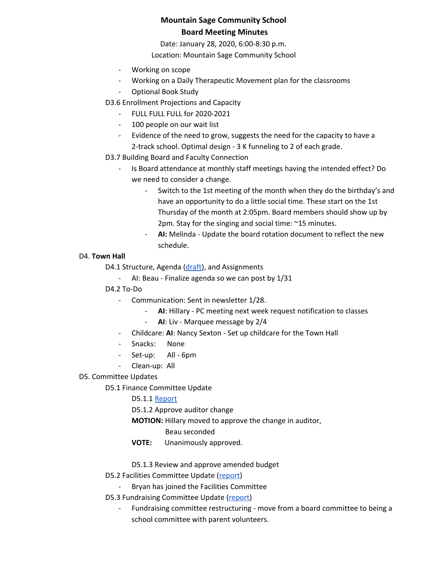Date: January 28, 2020, 6:00-8:30 p.m.

Location: Mountain Sage Community School

- Working on scope
- Working on a Daily Therapeutic Movement plan for the classrooms
- Optional Book Study

D3.6 Enrollment Projections and Capacity

- FULL FULL FULL for 2020-2021
- 100 people on our wait list
- Evidence of the need to grow, suggests the need for the capacity to have a 2-track school. Optimal design - 3 K funneling to 2 of each grade.
- D3.7 Building Board and Faculty Connection
	- Is Board attendance at monthly staff meetings having the intended effect? Do we need to consider a change.
		- Switch to the 1st meeting of the month when they do the birthday's and have an opportunity to do a little social time. These start on the 1st Thursday of the month at 2:05pm. Board members should show up by 2pm. Stay for the singing and social time: ~15 minutes.
		- AI: Melinda Update the board rotation document to reflect the new schedule.

## D4. **Town Hall**

D4.1 Structure, Agenda ([draft\)](https://docs.google.com/document/d/1txpmSYeDUIMARMYIq1DU11hiwSRP5Nvq-JrG_fcpVDA), and Assignments

- AI: Beau Finalize agenda so we can post by 1/31
- D4.2 To-Do
	- Communication: Sent in newsletter 1/28.
		- AI: Hillary PC meeting next week request notification to classes
		- **AI**: Liv Marquee message by 2/4
	- Childcare: **AI**: Nancy Sexton Set up childcare for the Town Hall
	- Snacks: None
	- Set-up: All 6pm
	- Clean-up: All
- D5. Committee Updates

D5.1 Finance Committee Update

D5.1.1 [Report](https://docs.google.com/document/d/1BH2gui-yhPa9dlxv4r42EkYSM6MhO5gY3scPtjySqNk/edit?usp=sharing)

D5.1.2 Approve auditor change

**MOTION:** Hillary moved to approve the change in auditor,

## Beau seconded

**VOTE:** Unanimously approved.

D5.1.3 Review and approve amended budget

D5.2 Facilities Committee Update [\(report\)](https://docs.google.com/document/d/18iPjudeaIEvFW4xtykuir4sblwA7fkMW1kh9q11sVx0/edit)

- Bryan has joined the Facilities Committee
- D5.3 Fundraising Committee Update ([report](https://docs.google.com/document/d/1o4aqbvQEmr1NMfxZGxmbVEf2LB1bHlyG521m0yUDzmk))
	- Fundraising committee restructuring move from a board committee to being a school committee with parent volunteers.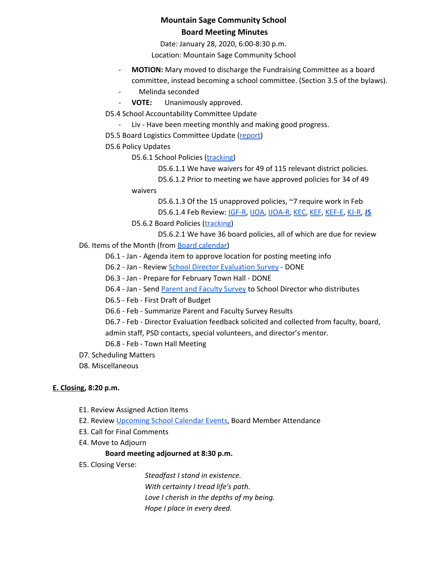Date: January 28, 2020, 6:00-8:30 p.m.

Location: Mountain Sage Community School

- **MOTION:** Mary moved to discharge the Fundraising Committee as a board committee, instead becoming a school committee. (Section 3.5 of the bylaws).
- Melinda seconded
- **VOTE:** Unanimously approved.

D5.4 School Accountability Committee Update

- Liv Have been meeting monthly and making good progress.
- D5.5 Board Logistics Committee Update ([report](https://docs.google.com/document/d/1yGt0-lukxC8euaxLmAArjXFIYBOvNobyNWfjfHgr3IU))
- D5.6 Policy Updates

D5.6.1 School Policies ([tracking\)](https://docs.google.com/spreadsheets/d/1H-Pb0IsFzsD00b_IjooQ6ps1HAVPmEkbRLxfF3LdDHg)

D5.6.1.1 We have waivers for 49 of 115 relevant district policies.

D5.6.1.2 Prior to meeting we have approved policies for 34 of 49 waivers

D5.6.1.3 Of the 15 unapproved policies, ~7 require work in Feb

D5.6.1.4 Feb Review: [IGF-R,](https://drive.google.com/open?id=1miaI655qSVx0mkoge_Ogf0wfQe_WHysQOHWy3E8vP_4) [IJOA,](https://drive.google.com/open?id=127iMJeasFSKC9cgptf53Po-Lt65l7qPxlFaFTCDx8Bc) [IJOA-R](https://drive.google.com/open?id=10D8cL9gSGsZ4qw0McfOHYMYGB72Y2tjHtReRjqjzPfw), [KEC](https://drive.google.com/open?id=108m23bf4wN-nGySmWFhaqPyzr6OifhWuoCBYjYqfRoE), [KEF,](https://drive.google.com/open?id=1PkGD_XBOAP-jL2JqiAmeD62EL9Bty99a5dJvoddx_ho) [KEF-E,](https://drive.google.com/open?id=1gyWLSVji-NgBz--ucR7Yg7-mEroi6UyBq1-j4_SS3as) [KJ-R,](https://docs.google.com/document/d/1Y4ZRTfhnfaBxuilXfk0sCEiIzcjzBLQFw72AJVi7ZmQ) **[JS](https://docs.google.com/document/d/1rf5GBWs-YOgZhMLOzJxPMH3JRSSvb52K1Sytz0KNBiU/edit?usp=sharing)**

D5.6.2 Board Policies ([tracking\)](https://docs.google.com/spreadsheets/d/1REGjOGNbAVcV5lQqxl_OhBqLE3HkWbAJavuquqDhrEU)

D5.6.2.1 We have 36 board policies, all of which are due for review

D6. Items of the Month (from Board [calendar](https://docs.google.com/document/d/12S6s-qevYMsnj8Cr2yw6uMO7S7hL3gz2oKvXZk5ZndQ/edit?usp=sharing))

D6.1 - Jan - Agenda item to approve location for posting meeting info

D6.2 - Jan - Review School Director [Evaluation](https://docs.google.com/forms/d/e/1FAIpQLSfFLB0pgFtyBHiWccYxmj2umU2gOFVyraMOwBteKAV3WC4Qdw/viewform) Survey - DONE

D6.3 - Jan - Prepare for February Town Hall - DONE

D6.4 - Jan - Send Parent and [Faculty](https://docs.google.com/document/d/1iyLxyFU3synch9aDkYP7qKanJZlTUFXJHwr5PyqLBbY) Survey to School Director who distributes

D6.5 - Feb - First Draft of Budget

D6.6 - Feb - Summarize Parent and Faculty Survey Results

D6.7 - Feb - Director Evaluation feedback solicited and collected from faculty, board, admin staff, PSD contacts, special volunteers, and director's mentor.

D6.8 - Feb - Town Hall Meeting

- D7. Scheduling Matters
- D8. Miscellaneous

## **E. Closing, 8:20 p.m.**

- E1. Review Assigned Action Items
- E2. Review [Upcoming](https://www.mountainsage.org/calendar.html) School Calendar Events, Board Member Attendance
- E3. Call for Final Comments
- E4. Move to Adjourn

#### **Board meeting adjourned at 8:30 p.m.**

E5. Closing Verse:

*Steadfast I stand in existence. With certainty I tread life's path. Love I cherish in the depths of my being. Hope I place in every deed.*